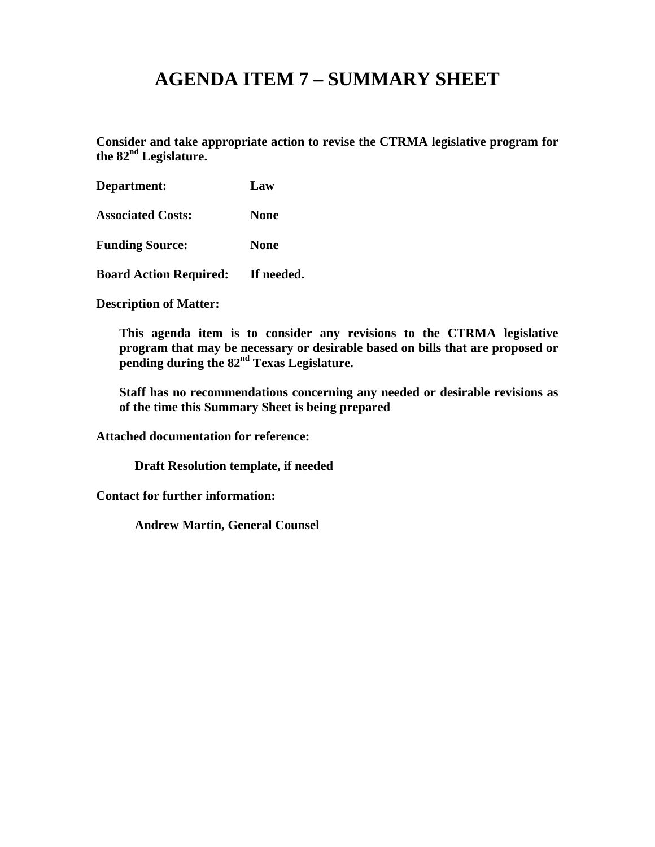# **AGENDA ITEM 7 – SUMMARY SHEET**

**Consider and take appropriate action to revise the CTRMA legislative program for the 82nd Legislature.**

| Department:                              | Law         |
|------------------------------------------|-------------|
| <b>Associated Costs:</b>                 | <b>None</b> |
| <b>Funding Source:</b>                   | <b>None</b> |
| <b>Board Action Required: If needed.</b> |             |

**Description of Matter:**

**This agenda item is to consider any revisions to the CTRMA legislative program that may be necessary or desirable based on bills that are proposed or pending during the 82nd Texas Legislature.**

**Staff has no recommendations concerning any needed or desirable revisions as of the time this Summary Sheet is being prepared**

**Attached documentation for reference:** 

**Draft Resolution template, if needed**

**Contact for further information:**

**Andrew Martin, General Counsel**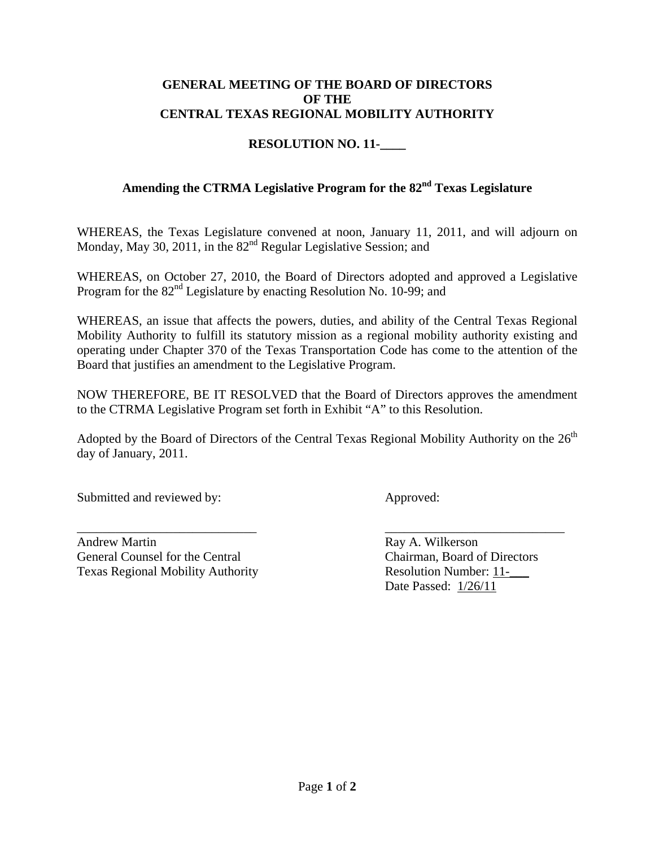#### **GENERAL MEETING OF THE BOARD OF DIRECTORS OF THE CENTRAL TEXAS REGIONAL MOBILITY AUTHORITY**

### **RESOLUTION NO. 11-\_\_\_\_**

### **Amending the CTRMA Legislative Program for the 82nd Texas Legislature**

WHEREAS, the Texas Legislature convened at noon, January 11, 2011, and will adjourn on Monday, May 30, 2011, in the 82<sup>nd</sup> Regular Legislative Session; and

WHEREAS, on October 27, 2010, the Board of Directors adopted and approved a Legislative Program for the  $82<sup>nd</sup>$  Legislature by enacting Resolution No. 10-99; and

WHEREAS, an issue that affects the powers, duties, and ability of the Central Texas Regional Mobility Authority to fulfill its statutory mission as a regional mobility authority existing and operating under Chapter 370 of the Texas Transportation Code has come to the attention of the Board that justifies an amendment to the Legislative Program.

NOW THEREFORE, BE IT RESOLVED that the Board of Directors approves the amendment to the CTRMA Legislative Program set forth in Exhibit "A" to this Resolution.

Adopted by the Board of Directors of the Central Texas Regional Mobility Authority on the  $26<sup>th</sup>$ day of January, 2011.

Submitted and reviewed by: Approved:

Andrew Martin Ray A. Wilkerson General Counsel for the Central Chairman, Board of Directors Texas Regional Mobility Authority **Resolution Number: 11-**

\_\_\_\_\_\_\_\_\_\_\_\_\_\_\_\_\_\_\_\_\_\_\_\_\_\_\_\_ \_\_\_\_\_\_\_\_\_\_\_\_\_\_\_\_\_\_\_\_\_\_\_\_\_\_\_\_ Date Passed: 1/26/11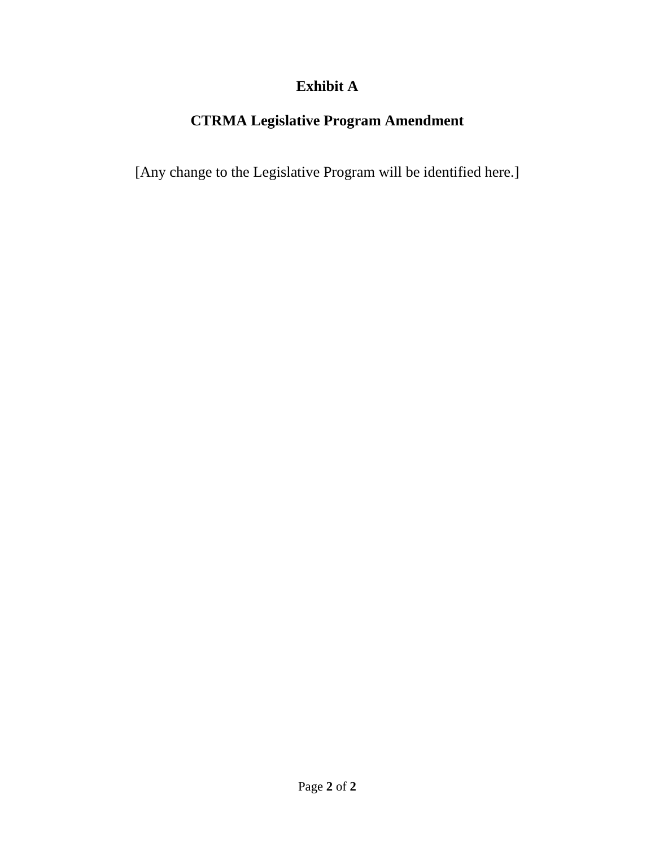## **Exhibit A**

## **CTRMA Legislative Program Amendment**

[Any change to the Legislative Program will be identified here.]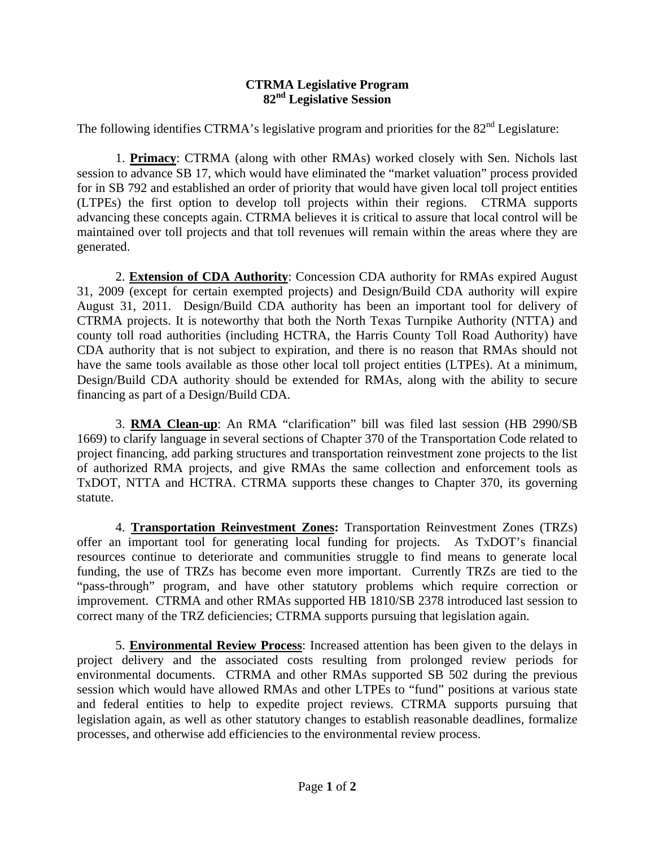#### **CTRMA Legislative Program 82nd Legislative Session**

The following identifies CTRMA's legislative program and priorities for the 82<sup>nd</sup> Legislature:

1. **Primacy**: CTRMA (along with other RMAs) worked closely with Sen. Nichols last session to advance SB 17, which would have eliminated the "market valuation" process provided for in SB 792 and established an order of priority that would have given local toll project entities (LTPEs) the first option to develop toll projects within their regions. CTRMA supports advancing these concepts again. CTRMA believes it is critical to assure that local control will be maintained over toll projects and that toll revenues will remain within the areas where they are generated.

2. **Extension of CDA Authority**: Concession CDA authority for RMAs expired August 31, 2009 (except for certain exempted projects) and Design/Build CDA authority will expire August 31, 2011. Design/Build CDA authority has been an important tool for delivery of CTRMA projects. It is noteworthy that both the North Texas Turnpike Authority (NTTA) and county toll road authorities (including HCTRA, the Harris County Toll Road Authority) have CDA authority that is not subject to expiration, and there is no reason that RMAs should not have the same tools available as those other local toll project entities (LTPEs). At a minimum, Design/Build CDA authority should be extended for RMAs, along with the ability to secure financing as part of a Design/Build CDA.

3. **RMA Clean-up**: An RMA "clarification" bill was filed last session (HB 2990/SB 1669) to clarify language in several sections of Chapter 370 of the Transportation Code related to project financing, add parking structures and transportation reinvestment zone projects to the list of authorized RMA projects, and give RMAs the same collection and enforcement tools as TxDOT, NTTA and HCTRA. CTRMA supports these changes to Chapter 370, its governing statute.

4. **Transportation Reinvestment Zones:** Transportation Reinvestment Zones (TRZs) offer an important tool for generating local funding for projects. As TxDOT's financial resources continue to deteriorate and communities struggle to find means to generate local funding, the use of TRZs has become even more important. Currently TRZs are tied to the "pass-through" program, and have other statutory problems which require correction or improvement. CTRMA and other RMAs supported HB 1810/SB 2378 introduced last session to correct many of the TRZ deficiencies; CTRMA supports pursuing that legislation again.

5. **Environmental Review Process**: Increased attention has been given to the delays in project delivery and the associated costs resulting from prolonged review periods for environmental documents. CTRMA and other RMAs supported SB 502 during the previous session which would have allowed RMAs and other LTPEs to "fund" positions at various state and federal entities to help to expedite project reviews. CTRMA supports pursuing that legislation again, as well as other statutory changes to establish reasonable deadlines, formalize processes, and otherwise add efficiencies to the environmental review process.